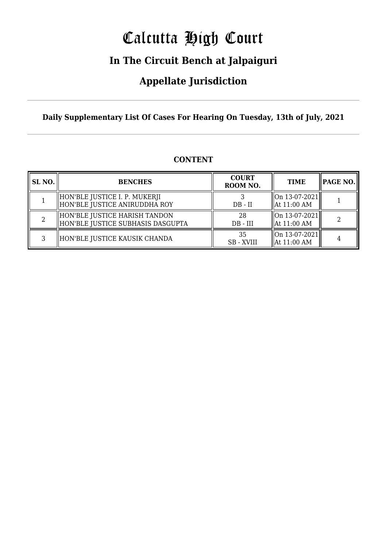# Calcutta High Court

## **In The Circuit Bench at Jalpaiguri**

### **Appellate Jurisdiction**

**Daily Supplementary List Of Cases For Hearing On Tuesday, 13th of July, 2021**

| SL <sub>NO.</sub> | <b>BENCHES</b>                                                     | <b>COURT</b><br>ROOM NO. | <b>TIME</b>                                                             | PAGE NO. |
|-------------------|--------------------------------------------------------------------|--------------------------|-------------------------------------------------------------------------|----------|
|                   | HON'BLE JUSTICE I. P. MUKERJI<br>HON'BLE JUSTICE ANIRUDDHA ROY     | $DB - II$                | $\left  \right $ On 13-07-2021<br>$\parallel$ At 11:00 AM               |          |
|                   | HON'BLE JUSTICE HARISH TANDON<br>HON'BLE JUSTICE SUBHASIS DASGUPTA | 28<br>$DB - III$         | $\left  \right $ On 13-07-2021<br>$\parallel$ At 11:00 AM               |          |
| ว                 | HON'BLE JUSTICE KAUSIK CHANDA                                      | 35<br><b>SB</b> - XVIII  | $\left\  \text{On } 13 - 07 - 2021 \right\ $<br>$\parallel$ At 11:00 AM | 4        |

#### **CONTENT**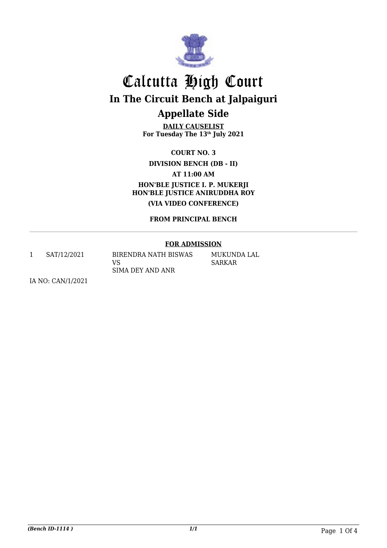

## Calcutta High Court **In The Circuit Bench at Jalpaiguri Appellate Side**

**DAILY CAUSELIST For Tuesday The 13th July 2021**

**COURT NO. 3**

**DIVISION BENCH (DB - II)**

**AT 11:00 AM**

**HON'BLE JUSTICE I. P. MUKERJI HON'BLE JUSTICE ANIRUDDHA ROY (VIA VIDEO CONFERENCE)**

**FROM PRINCIPAL BENCH**

#### **FOR ADMISSION**

1 SAT/12/2021 BIRENDRA NATH BISWAS

VS SIMA DEY AND ANR MUKUNDA LAL SARKAR

IA NO: CAN/1/2021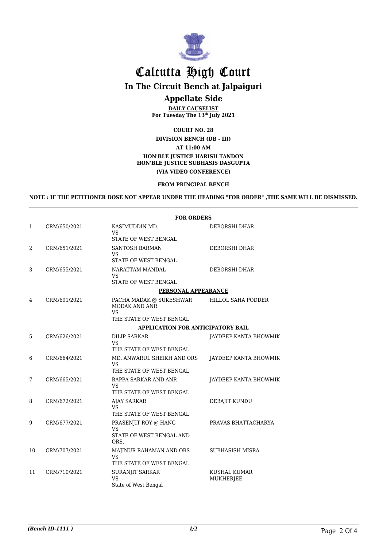

### Calcutta High Court **In The Circuit Bench at Jalpaiguri Appellate Side**

**DAILY CAUSELIST For Tuesday The 13th July 2021**

#### **COURT NO. 28 DIVISION BENCH (DB - III) AT 11:00 AM HON'BLE JUSTICE HARISH TANDON HON'BLE JUSTICE SUBHASIS DASGUPTA (VIA VIDEO CONFERENCE)**

#### **FROM PRINCIPAL BENCH**

**NOTE : IF THE PETITIONER DOSE NOT APPEAR UNDER THE HEADING "FOR ORDER" ,THE SAME WILL BE DISMISSED.**

|                |                                   | <b>FOR ORDERS</b>                                                                        |                                         |  |  |  |
|----------------|-----------------------------------|------------------------------------------------------------------------------------------|-----------------------------------------|--|--|--|
| 1              | CRM/650/2021                      | KASIMUDDIN MD.<br>VS<br>STATE OF WEST BENGAL                                             | DEBORSHI DHAR                           |  |  |  |
| $\overline{2}$ | CRM/651/2021                      | <b>SANTOSH BARMAN</b><br><b>VS</b><br>STATE OF WEST BENGAL                               | <b>DEBORSHI DHAR</b>                    |  |  |  |
| 3              | CRM/655/2021                      | NARATTAM MANDAL<br><b>VS</b><br>STATE OF WEST BENGAL                                     | DEBORSHI DHAR                           |  |  |  |
|                |                                   |                                                                                          | PERSONAL APPEARANCE                     |  |  |  |
| 4              | CRM/691/2021                      | PACHA MADAK @ SUKESHWAR<br><b>MODAK AND ANR</b><br><b>VS</b><br>THE STATE OF WEST BENGAL | HILLOL SAHA PODDER                      |  |  |  |
|                | APPLICATION FOR ANTICIPATORY BAIL |                                                                                          |                                         |  |  |  |
| 5              | CRM/626/2021                      | DILIP SARKAR<br><b>VS</b><br>THE STATE OF WEST BENGAL                                    | JAYDEEP KANTA BHOWMIK                   |  |  |  |
| 6              | CRM/664/2021                      | MD. ANWARUL SHEIKH AND ORS<br><b>VS</b><br>THE STATE OF WEST BENGAL                      | JAYDEEP KANTA BHOWMIK                   |  |  |  |
| 7              | CRM/665/2021                      | BAPPA SARKAR AND ANR<br><b>VS</b><br>THE STATE OF WEST BENGAL                            | JAYDEEP KANTA BHOWMIK                   |  |  |  |
| 8              | CRM/672/2021                      | <b>AJAY SARKAR</b><br><b>VS</b><br>THE STATE OF WEST BENGAL                              | DEBAJIT KUNDU                           |  |  |  |
| 9              | CRM/677/2021                      | PRASENJIT ROY @ HANG<br><b>VS</b><br>STATE OF WEST BENGAL AND<br>ORS.                    | PRAVAS BHATTACHARYA                     |  |  |  |
| 10             | CRM/707/2021                      | MAJINUR RAHAMAN AND ORS<br>VS<br>THE STATE OF WEST BENGAL                                | <b>SUBHASISH MISRA</b>                  |  |  |  |
| 11             | CRM/710/2021                      | SURANJIT SARKAR<br><b>VS</b><br>State of West Bengal                                     | <b>KUSHAL KUMAR</b><br><b>MUKHERJEE</b> |  |  |  |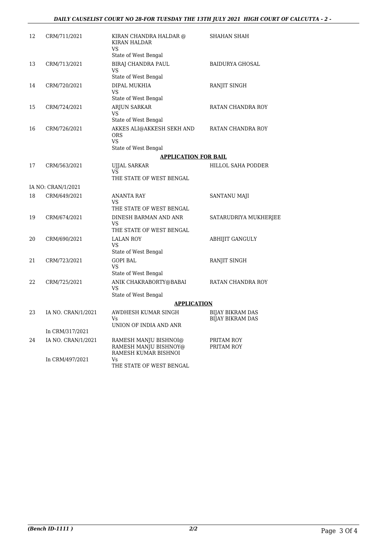#### *DAILY CAUSELIST COURT NO 28-FOR TUESDAY THE 13TH JULY 2021 HIGH COURT OF CALCUTTA - 2 -*

| 12 | CRM/711/2021       | KIRAN CHANDRA HALDAR @<br><b>KIRAN HALDAR</b><br>VS                          | SHAHAN SHAH                                 |  |  |  |
|----|--------------------|------------------------------------------------------------------------------|---------------------------------------------|--|--|--|
|    |                    | State of West Bengal                                                         |                                             |  |  |  |
| 13 | CRM/713/2021       | BIRAJ CHANDRA PAUL<br>VS<br>State of West Bengal                             | <b>BAIDURYA GHOSAL</b>                      |  |  |  |
| 14 | CRM/720/2021       | DIPAL MUKHIA<br>VS                                                           | RANJIT SINGH                                |  |  |  |
|    |                    | State of West Bengal                                                         |                                             |  |  |  |
| 15 | CRM/724/2021       | ARJUN SARKAR<br><b>VS</b><br>State of West Bengal                            | RATAN CHANDRA ROY                           |  |  |  |
| 16 | CRM/726/2021       | AKKES ALI@AKKESH SEKH AND<br><b>ORS</b><br><b>VS</b><br>State of West Bengal | RATAN CHANDRA ROY                           |  |  |  |
|    |                    | <b>APPLICATION FOR BAIL</b>                                                  |                                             |  |  |  |
| 17 | CRM/563/2021       | <b>UJJAL SARKAR</b>                                                          | HILLOL SAHA PODDER                          |  |  |  |
|    |                    | VS<br>THE STATE OF WEST BENGAL                                               |                                             |  |  |  |
|    | IA NO: CRAN/1/2021 |                                                                              |                                             |  |  |  |
| 18 | CRM/649/2021       | ANANTA RAY<br>VS<br>THE STATE OF WEST BENGAL                                 | <b>SANTANU MAJI</b>                         |  |  |  |
| 19 | CRM/674/2021       | DINESH BARMAN AND ANR<br><b>VS</b><br>THE STATE OF WEST BENGAL               | SATARUDRIYA MUKHERJEE                       |  |  |  |
| 20 | CRM/690/2021       | <b>LALAN ROY</b><br>VS                                                       | ABHIJIT GANGULY                             |  |  |  |
| 21 | CRM/723/2021       | State of West Bengal<br><b>GOPI BAL</b>                                      | RANJIT SINGH                                |  |  |  |
|    |                    | VS<br>State of West Bengal                                                   |                                             |  |  |  |
| 22 | CRM/725/2021       | ANIK CHAKRABORTY@BABAI<br>VS<br>State of West Bengal                         | RATAN CHANDRA ROY                           |  |  |  |
|    |                    | <b>APPLICATION</b>                                                           |                                             |  |  |  |
| 23 | IA NO. CRAN/1/2021 | AWDHESH KUMAR SINGH<br>Vs                                                    | BIJAY BIKRAM DAS<br><b>BIJAY BIKRAM DAS</b> |  |  |  |
|    | In CRM/317/2021    | UNION OF INDIA AND ANR                                                       |                                             |  |  |  |
| 24 | IA NO. CRAN/1/2021 | RAMESH MANJU BISHNOI@                                                        | PRITAM ROY                                  |  |  |  |
|    |                    | RAMESH MANJU BISHNOY@<br>RAMESH KUMAR BISHNOI                                | PRITAM ROY                                  |  |  |  |
|    | In CRM/497/2021    | Vs<br>THE STATE OF WEST BENGAL                                               |                                             |  |  |  |